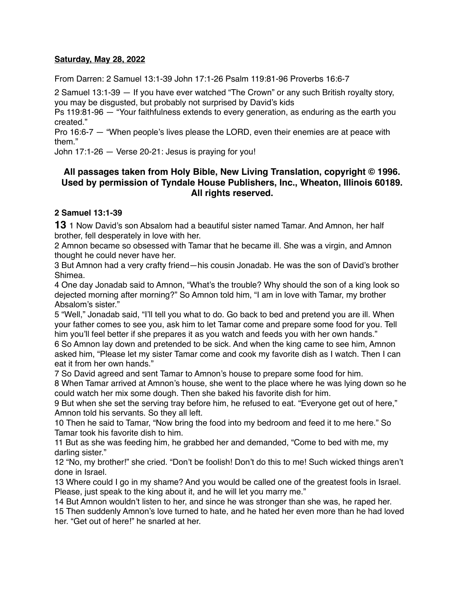#### **Saturday, May 28, 2022**

From Darren: 2 Samuel 13:1-39 John 17:1-26 Psalm 119:81-96 Proverbs 16:6-7

2 Samuel 13:1-39 — If you have ever watched "The Crown" or any such British royalty story, you may be disgusted, but probably not surprised by David's kids

Ps 119:81-96 — "Your faithfulness extends to every generation, as enduring as the earth you created."

Pro 16:6-7 — "When people's lives please the LORD, even their enemies are at peace with them."

John 17:1-26 — Verse 20-21: Jesus is praying for you!

# **All passages taken from Holy Bible, [New Living Translation](http://www.newlivingtranslation.com/), copyright © 1996. Used by permission of [Tyndale House Publishers](http://tyndale.com/), Inc., Wheaton, Illinois 60189. All rights reserved.**

#### **2 Samuel 13:1-39**

**13** 1 Now David's son Absalom had a beautiful sister named Tamar. And Amnon, her half brother, fell desperately in love with her.

2 Amnon became so obsessed with Tamar that he became ill. She was a virgin, and Amnon thought he could never have her.

3 But Amnon had a very crafty friend—his cousin Jonadab. He was the son of David's brother Shimea.

4 One day Jonadab said to Amnon, "What's the trouble? Why should the son of a king look so dejected morning after morning?" So Amnon told him, "I am in love with Tamar, my brother Absalom's sister."

5 "Well," Jonadab said, "I'll tell you what to do. Go back to bed and pretend you are ill. When your father comes to see you, ask him to let Tamar come and prepare some food for you. Tell him you'll feel better if she prepares it as you watch and feeds you with her own hands."

6 So Amnon lay down and pretended to be sick. And when the king came to see him, Amnon asked him, "Please let my sister Tamar come and cook my favorite dish as I watch. Then I can eat it from her own hands."

7 So David agreed and sent Tamar to Amnon's house to prepare some food for him.

8 When Tamar arrived at Amnon's house, she went to the place where he was lying down so he could watch her mix some dough. Then she baked his favorite dish for him.

9 But when she set the serving tray before him, he refused to eat. "Everyone get out of here," Amnon told his servants. So they all left.

10 Then he said to Tamar, "Now bring the food into my bedroom and feed it to me here." So Tamar took his favorite dish to him.

11 But as she was feeding him, he grabbed her and demanded, "Come to bed with me, my darling sister."

12 "No, my brother!" she cried. "Don't be foolish! Don't do this to me! Such wicked things aren't done in Israel.

13 Where could I go in my shame? And you would be called one of the greatest fools in Israel. Please, just speak to the king about it, and he will let you marry me."

14 But Amnon wouldn't listen to her, and since he was stronger than she was, he raped her.

15 Then suddenly Amnon's love turned to hate, and he hated her even more than he had loved her. "Get out of here!" he snarled at her.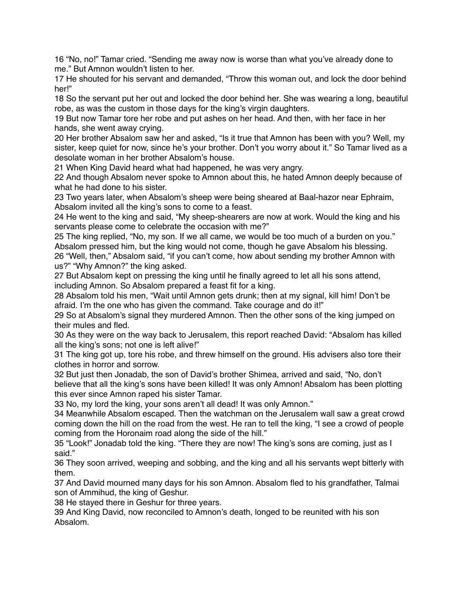16 "No, no!" Tamar cried. "Sending me away now is worse than what you've already done to me." But Amnon wouldn't listen to her.

17 He shouted for his servant and demanded, "Throw this woman out, and lock the door behind her!"

18 So the servant put her out and locked the door behind her. She was wearing a long, beautiful robe, as was the custom in those days for the king's virgin daughters.

19 But now Tamar tore her robe and put ashes on her head. And then, with her face in her hands, she went away crying.

20 Her brother Absalom saw her and asked, "Is it true that Amnon has been with you? Well, my sister, keep quiet for now, since he's your brother. Don't you worry about it." So Tamar lived as a desolate woman in her brother Absalom's house.

21 When King David heard what had happened, he was very angry.

22 And though Absalom never spoke to Amnon about this, he hated Amnon deeply because of what he had done to his sister.

23 Two years later, when Absalom's sheep were being sheared at Baal-hazor near Ephraim, Absalom invited all the king's sons to come to a feast.

24 He went to the king and said, "My sheep-shearers are now at work. Would the king and his servants please come to celebrate the occasion with me?"

25 The king replied, "No, my son. If we all came, we would be too much of a burden on you." Absalom pressed him, but the king would not come, though he gave Absalom his blessing. 26 "Well, then," Absalom said, "if you can't come, how about sending my brother Amnon with us?" "Why Amnon?" the king asked.

27 But Absalom kept on pressing the king until he finally agreed to let all his sons attend, including Amnon. So Absalom prepared a feast fit for a king.

28 Absalom told his men, "Wait until Amnon gets drunk; then at my signal, kill him! Don't be afraid. I'm the one who has given the command. Take courage and do it!"

29 So at Absalom's signal they murdered Amnon. Then the other sons of the king jumped on their mules and fled.

30 As they were on the way back to Jerusalem, this report reached David: "Absalom has killed all the king's sons; not one is left alive!"

31 The king got up, tore his robe, and threw himself on the ground. His advisers also tore their clothes in horror and sorrow.

32 But just then Jonadab, the son of David's brother Shimea, arrived and said, "No, don't believe that all the king's sons have been killed! It was only Amnon! Absalom has been plotting this ever since Amnon raped his sister Tamar.

33 No, my lord the king, your sons aren't all dead! It was only Amnon."

34 Meanwhile Absalom escaped. Then the watchman on the Jerusalem wall saw a great crowd coming down the hill on the road from the west. He ran to tell the king, "I see a crowd of people coming from the Horonaim road along the side of the hill."

35 "Look!" Jonadab told the king. "There they are now! The king's sons are coming, just as I said."

36 They soon arrived, weeping and sobbing, and the king and all his servants wept bitterly with them.

37 And David mourned many days for his son Amnon. Absalom fled to his grandfather, Talmai son of Ammihud, the king of Geshur.

38 He stayed there in Geshur for three years.

39 And King David, now reconciled to Amnon's death, longed to be reunited with his son Absalom.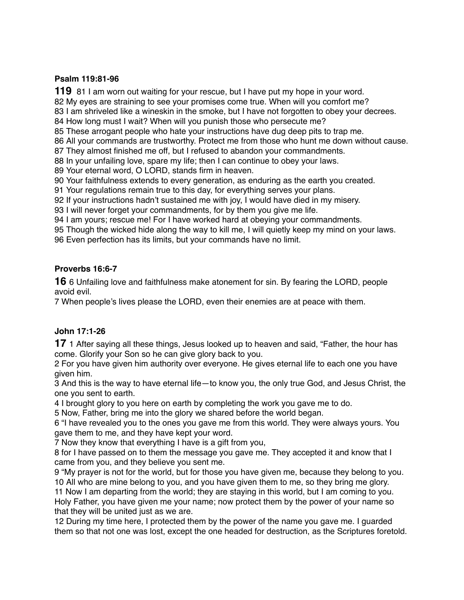## **Psalm 119:81-96**

81 I am worn out waiting for your rescue, but I have put my hope in your word. My eyes are straining to see your promises come true. When will you comfort me? I am shriveled like a wineskin in the smoke, but I have not forgotten to obey your decrees. How long must I wait? When will you punish those who persecute me?

These arrogant people who hate your instructions have dug deep pits to trap me.

All your commands are trustworthy. Protect me from those who hunt me down without cause.

They almost finished me off, but I refused to abandon your commandments.

In your unfailing love, spare my life; then I can continue to obey your laws.

Your eternal word, O LORD, stands firm in heaven.

Your faithfulness extends to every generation, as enduring as the earth you created.

Your regulations remain true to this day, for everything serves your plans.

If your instructions hadn't sustained me with joy, I would have died in my misery.

I will never forget your commandments, for by them you give me life.

I am yours; rescue me! For I have worked hard at obeying your commandments.

Though the wicked hide along the way to kill me, I will quietly keep my mind on your laws.

Even perfection has its limits, but your commands have no limit.

## **Proverbs 16:6-7**

6 Unfailing love and faithfulness make atonement for sin. By fearing the LORD, people avoid evil.

When people's lives please the LORD, even their enemies are at peace with them.

# **John 17:1-26**

1 After saying all these things, Jesus looked up to heaven and said, "Father, the hour has come. Glorify your Son so he can give glory back to you.

 For you have given him authority over everyone. He gives eternal life to each one you have given him.

 And this is the way to have eternal life—to know you, the only true God, and Jesus Christ, the one you sent to earth.

I brought glory to you here on earth by completing the work you gave me to do.

Now, Father, bring me into the glory we shared before the world began.

 "I have revealed you to the ones you gave me from this world. They were always yours. You gave them to me, and they have kept your word.

Now they know that everything I have is a gift from you,

 for I have passed on to them the message you gave me. They accepted it and know that I came from you, and they believe you sent me.

 "My prayer is not for the world, but for those you have given me, because they belong to you. All who are mine belong to you, and you have given them to me, so they bring me glory.

 Now I am departing from the world; they are staying in this world, but I am coming to you. Holy Father, you have given me your name; now protect them by the power of your name so that they will be united just as we are.

 During my time here, I protected them by the power of the name you gave me. I guarded them so that not one was lost, except the one headed for destruction, as the Scriptures foretold.